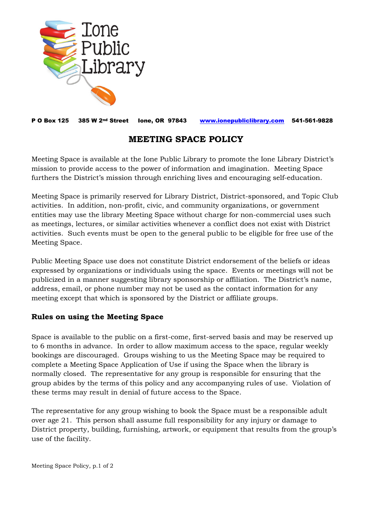

P O Box 125 385 W 2nd Street Ione, OR 97843 [www.ionepubliclibrary.com](http://www.ionepubliclibrary.com/) 541-561-9828

## **MEETING SPACE POLICY**

Meeting Space is available at the Ione Public Library to promote the Ione Library District's mission to provide access to the power of information and imagination. Meeting Space furthers the District's mission through enriching lives and encouraging self-education.

Meeting Space is primarily reserved for Library District, District-sponsored, and Topic Club activities. In addition, non-profit, civic, and community organizations, or government entities may use the library Meeting Space without charge for non-commercial uses such as meetings, lectures, or similar activities whenever a conflict does not exist with District activities. Such events must be open to the general public to be eligible for free use of the Meeting Space.

Public Meeting Space use does not constitute District endorsement of the beliefs or ideas expressed by organizations or individuals using the space. Events or meetings will not be publicized in a manner suggesting library sponsorship or affiliation. The District's name, address, email, or phone number may not be used as the contact information for any meeting except that which is sponsored by the District or affiliate groups.

## **Rules on using the Meeting Space**

Space is available to the public on a first-come, first-served basis and may be reserved up to 6 months in advance. In order to allow maximum access to the space, regular weekly bookings are discouraged. Groups wishing to us the Meeting Space may be required to complete a Meeting Space Application of Use if using the Space when the library is normally closed. The representative for any group is responsible for ensuring that the group abides by the terms of this policy and any accompanying rules of use. Violation of these terms may result in denial of future access to the Space.

The representative for any group wishing to book the Space must be a responsible adult over age 21. This person shall assume full responsibility for any injury or damage to District property, building, furnishing, artwork, or equipment that results from the group's use of the facility.